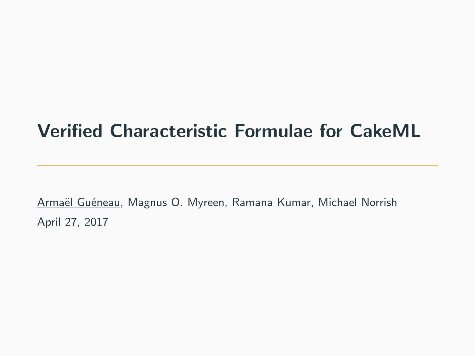### Verified Characteristic Formulae for CakeML

Armaël Guéneau, Magnus O. Myreen, Ramana Kumar, Michael Norrish April 27, 2017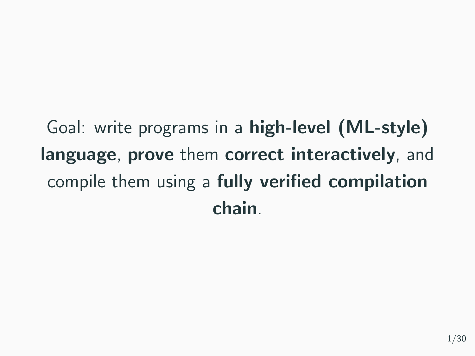Goal: write programs in a high-level (ML-style) language, prove them correct interactively, and compile them using a fully verified compilation chain.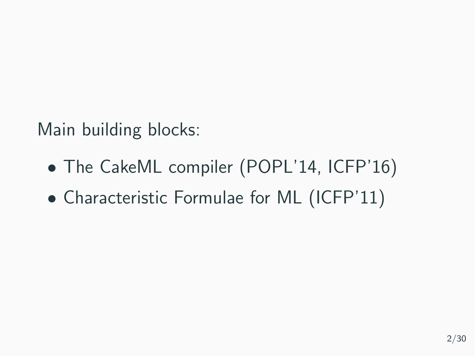Main building blocks:

- The CakeML compiler (POPL'14, ICFP'16)
- Characteristic Formulae for ML (ICFP'11)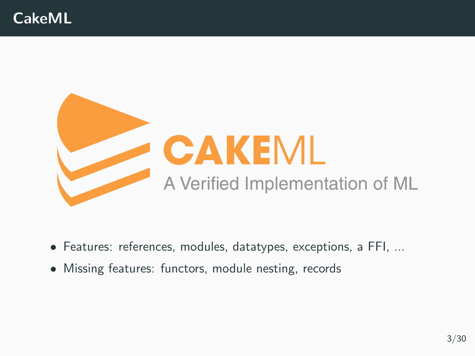

- Features: references, modules, datatypes, exceptions, a FFI, ...
- Missing features: functors, module nesting, records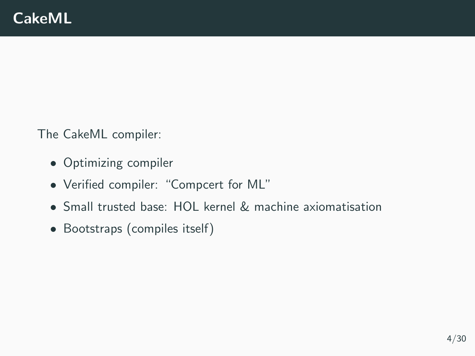The CakeML compiler:

- Optimizing compiler
- Verified compiler: "Compcert for ML"
- Small trusted base: HOL kernel & machine axiomatisation
- Bootstraps (compiles itself)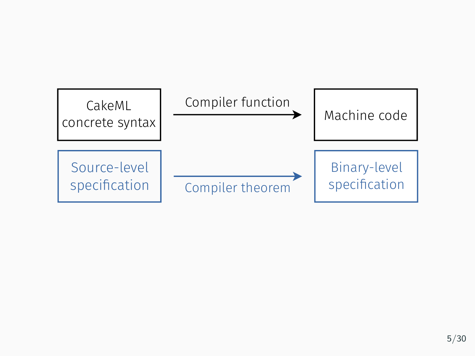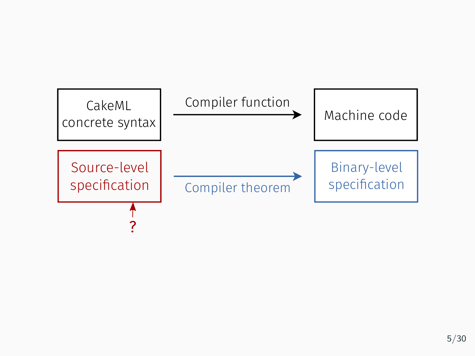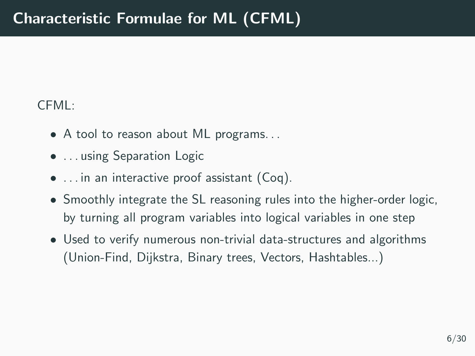#### CFML:

- A tool to reason about ML programs...
- ... using Separation Logic
- ... in an interactive proof assistant (Coq).
- Smoothly integrate the SL reasoning rules into the higher-order logic, by turning all program variables into logical variables in one step
- Used to verify numerous non-trivial data-structures and algorithms (Union-Find, Dijkstra, Binary trees, Vectors, Hashtables...)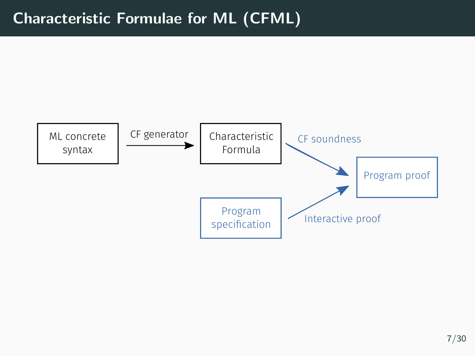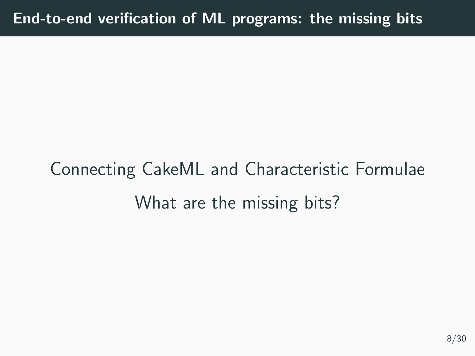# Connecting CakeML and Characteristic Formulae What are the missing bits?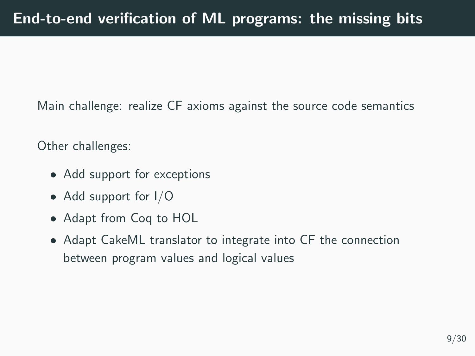Main challenge: realize CF axioms against the source code semantics

Other challenges:

- Add support for exceptions
- Add support for I/O
- Adapt from Coq to HOL
- Adapt CakeML translator to integrate into CF the connection between program values and logical values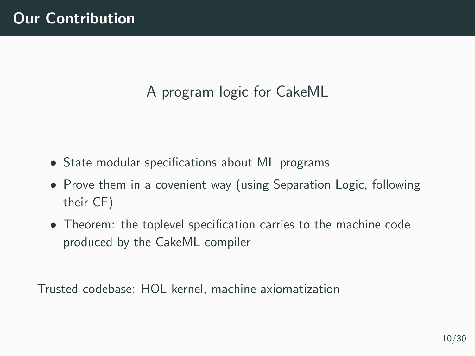### A program logic for CakeML

- State modular specifications about ML programs
- Prove them in a covenient way (using Separation Logic, following their CF)
- Theorem: the toplevel specification carries to the machine code produced by the CakeML compiler

Trusted codebase: HOL kernel, machine axiomatization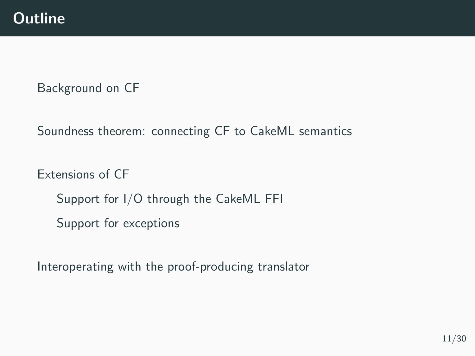#### [Background on CF](#page-13-0)

[Soundness theorem: connecting CF to CakeML semantics](#page-17-0)

[Extensions of CF](#page-25-0)

[Support for I/O through the CakeML FFI](#page-26-0)

[Support for exceptions](#page-31-0)

[Interoperating with the proof-producing translator](#page-33-0)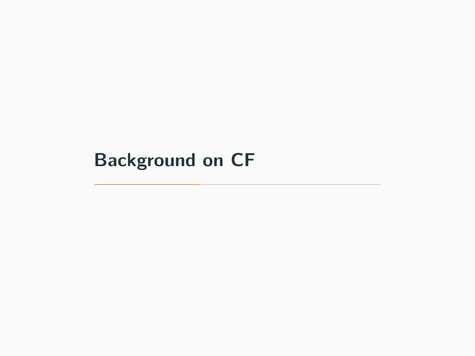## <span id="page-13-0"></span>[Background on CF](#page-13-0)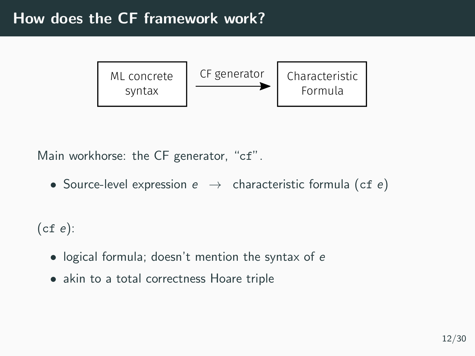

Main workhorse: the CF generator, "cf".

• Source-level expression  $e \rightarrow$  characteristic formula (cf e)

 $(cf e)$ :

- logical formula; doesn't mention the syntax of e
- akin to a total correctness Hoare triple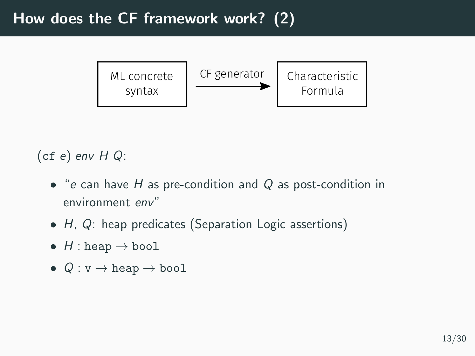### How does the CF framework work? (2)



 $(cf e) env H Q$ :

- "e can have  $H$  as pre-condition and  $Q$  as post-condition in environment env"
- H, Q: heap predicates (Separation Logic assertions)
- $H: \text{heap} \rightarrow \text{bool}$
- $Q: v \rightarrow$  heap  $\rightarrow$  bool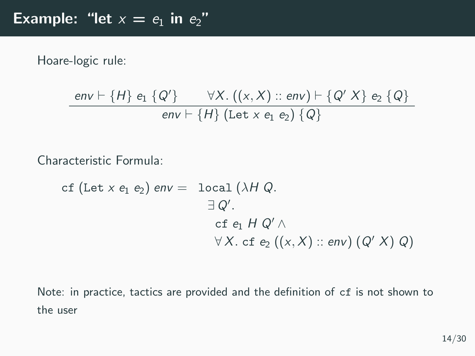Hoare-logic rule:

$$
\cfrac{\mathit{env} \vdash \{H\} \mathit{e}_1 \{Q'\} \qquad \forall X. ((x, X) :: \mathit{env}) \vdash \{Q' \ X\} \mathit{e}_2 \{Q\}}{\mathit{env} \vdash \{H\} (\text{Let } x \mathit{e}_1 \mathit{e}_2) \{Q\}}
$$

Characteristic Formula:

$$
\begin{array}{rcl}\n\text{cf (Let } x \in_1 e_2) \text{ env} &=& \text{local } (\lambda H \ Q. \\
&& \exists \ Q'. \\
& & \text{cf } e_1 \ H \ Q' \land \\
& & \forall \ X. \ \text{cf } e_2 \ ((x, X) :: \text{env}) \ (Q' \ X) \ Q)\n\end{array}
$$

Note: in practice, tactics are provided and the definition of cf is not shown to the user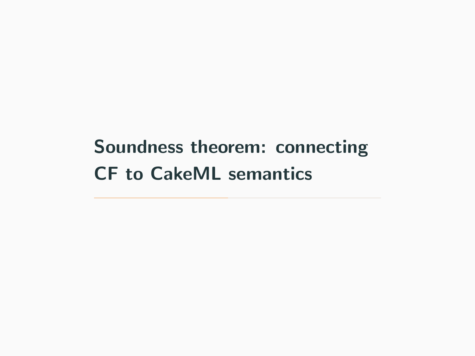# <span id="page-17-0"></span>[Soundness theorem: connecting](#page-17-0) [CF to CakeML semantics](#page-17-0)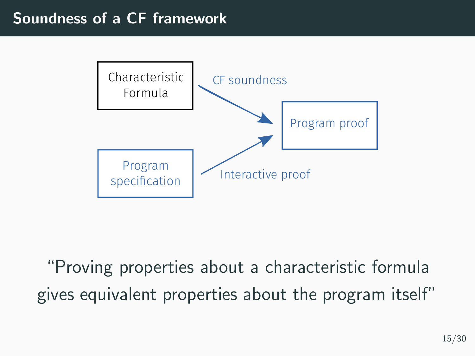#### Soundness of a CF framework



"Proving properties about a characteristic formula gives equivalent properties about the program itself"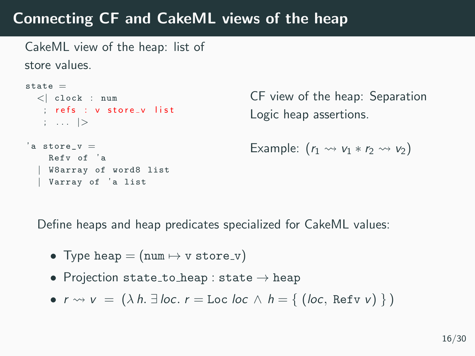### Connecting CF and CakeML views of the heap

CakeML view of the heap: list of store values.

```
state =<| clock : num
   : refs : v store_v list
   ; . . . |>
'a store_v =Refy of 'a
  | W8array of word8 list
   Varray of 'a list
```
CF view of the heap: Separation Logic heap assertions.

Example:  $(r_1 \rightsquigarrow v_1 * r_2 \rightsquigarrow v_2)$ 

Define heaps and heap predicates specialized for CakeML values:

- Type heap  $=$  (num  $\mapsto$  v store\_v)
- Projection state\_to\_heap : state  $\rightarrow$  heap
- $r \rightsquigarrow v = (\lambda h. \exists loc. r = Loc loc \land h = \{ (loc. Ref v) \})$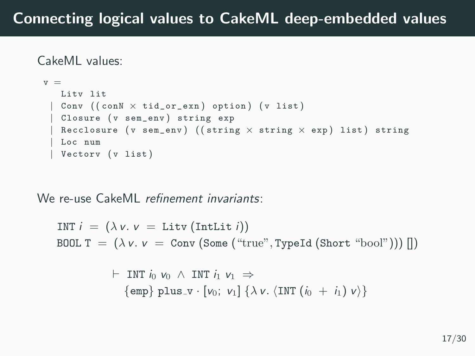CakeML values:

```
v =Litv lit
  Conv ( ( connN \times tid\_or\_exn ) option ) (v list )
  Closure (v sem_env) string exp
  Recclosure (v sem_env) ((string \times string \times exp) list) string
  Loc num
  Vectory (y list)
```
We re-use CakeML refinement invariants:

INT  $i = (\lambda v. v = \text{Litv}(\text{IntLit} i))$ BOOL  $T = (\lambda v. v = Conv(Some("true", TypeId(Short "bool"))$ ]]]

$$
\vdash \text{INT } i_0 \ v_0 \ \land \ \text{INT } i_1 \ v_1 \Rightarrow \\ \{\text{emp}\} \ \text{plus\_v} \cdot [v_0; \ v_1] \ \{\lambda \ v. \ \langle \text{INT } (i_0 + i_1) \ v \rangle \}
$$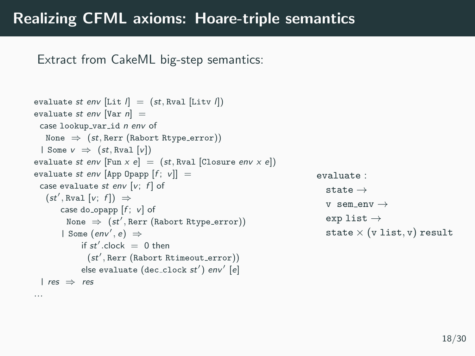Extract from CakeML big-step semantics:

```
evaluate st env [Lit l] = (st, Rval [Litv l])
evaluate st env [Var n] =
 case lookup_var_id n env of
   None \Rightarrow (st, Rerr (Rabort Rtype_error))
 | Some v \Rightarrow (st, Rval [v])evaluate st env [Fun x e] = (st, Rval [Closure env x e])
evaluate st env [App Opapp [f; v]] =case evaluate st env [v; f] of
   (st', Rval [v; f]) \Rightarrowcase do opapp [f; v] of
         None \Rightarrow (st', Rerr (Rabort Rtype_error))
       | Some (\text{env}', e) \Rightarrowif st'.clock = 0 then
               (st^\prime,\texttt{Rerr} (Rabort Rtimeout_error))
             else evaluate (\texttt{dec\_clock}~\textit{st}') env' [e]| res \Rightarrow res
```
...

```
evaluate :
  state \rightarrowv sem_env \rightarrowexp list \rightarrowstate \times (v list, v) result
```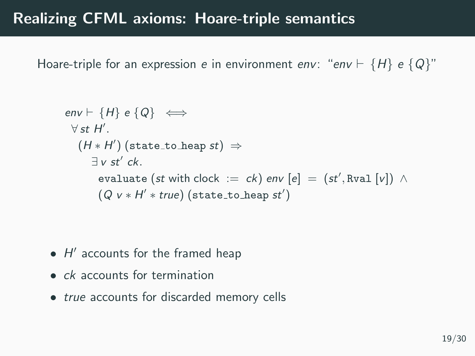### Realizing CFML axioms: Hoare-triple semantics

Hoare-triple for an expression e in environment env: "env  $\vdash \{H\}$  e  $\{Q\}$ "

$$
env \vdash \{H\} e \{Q\} \iff
$$
  
\n
$$
\forall st \ H'.
$$
  
\n
$$
(H * H') (\text{state_to-heap } st) \Rightarrow
$$
  
\n
$$
\exists v \ st' \ ck.
$$
  
\nevaluate (st with clock := ck) env [e] = (st', Rval [v]) \land  
\n
$$
(Q v * H' * true) (\text{state_to-heap } st')
$$

- $\bullet$   $H'$  accounts for the framed heap
- *ck* accounts for termination
- true accounts for discarded memory cells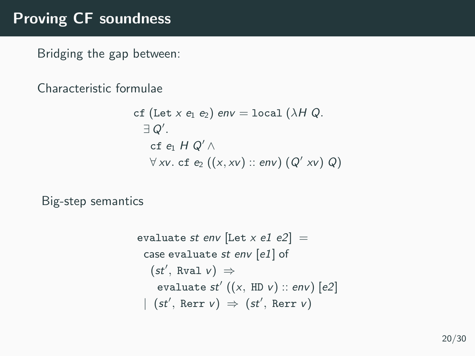### Proving CF soundness

Bridging the gap between:

Characteristic formulae

```
cf (Let x e_1 e_2) env = local (\lambdaH Q.
   \exists Q'.cf e<sub>1</sub> H Q' \wedge\forall xv. cf e_2 ((x, xv) :: env) (Q' xv) Q)
```
Big-step semantics

$$
\begin{array}{l} \texttt{evaluate}\;st\;env\;[\texttt{Let}\;x\;el\;e2] \;=\;\\ \texttt{case}\; \texttt{evaluate}\;st\;env\;[e1]\;\texttt{of} \\ \begin{array}{l}(st',\;\texttt{Rval}\;v)\;\Rightarrow\\ \texttt{evaluate}\;st'\;((x,\;\texttt{HD}\;v)\;::\;env)\;[e2] \\ \mid\; (st',\;\texttt{Rerr}\;v)\;\Rightarrow\;(st',\;\texttt{Rerr}\;v)\end{array}\end{array}
$$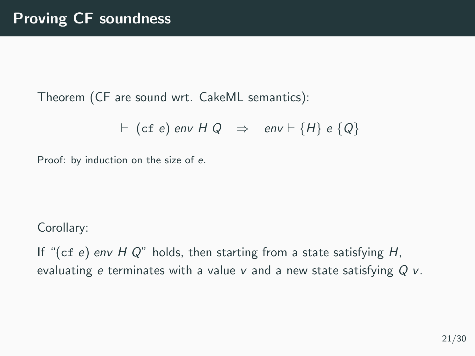Theorem (CF are sound wrt. CakeML semantics):

$$
\vdash (cf e) env H Q \Rightarrow env \vdash \{H\} e \{Q\}
$$

Proof: by induction on the size of e.

Corollary:

If "(cf e) env  $H Q$ " holds, then starting from a state satisfying  $H$ , evaluating e terminates with a value  $v$  and a new state satisfying  $Qv$ .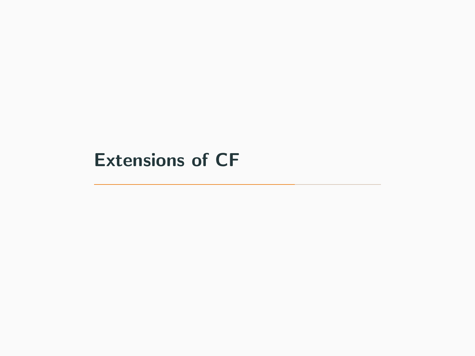### <span id="page-25-0"></span>[Extensions of CF](#page-25-0)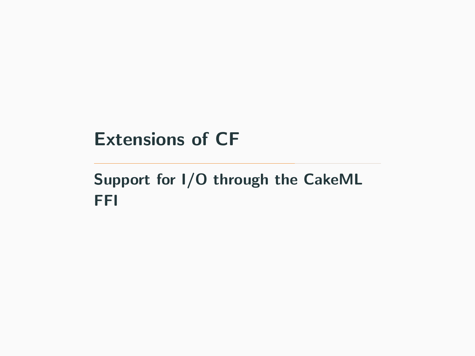### <span id="page-26-0"></span>[Extensions of CF](#page-25-0)

### [Support for I/O through the CakeML](#page-26-0) [FFI](#page-26-0)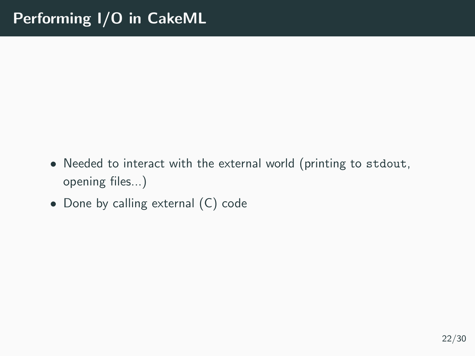- Needed to interact with the external world (printing to stdout, opening files...)
- Done by calling external (C) code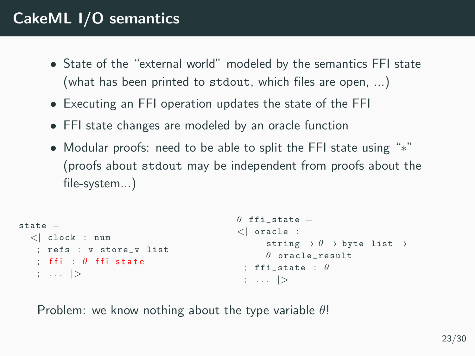### CakeML I/O semantics

- State of the "external world" modeled by the semantics FFI state (what has been printed to stdout, which files are open, ...)
- Executing an FFI operation updates the state of the FFI
- FFI state changes are modeled by an oracle function
- Modular proofs: need to be able to split the FFI state using "∗" (proofs about stdout may be independent from proofs about the file-system...)

```
state =<| clock : num
    ; refs : v store_v list
    ; ffi : \theta ffi_state
    ; . . . |>
                                                    \theta ffi_state =
                                                     <| oracle :
                                                            string \rightarrow \theta \rightarrow byte list \rightarrow\theta oracle result
                                                      ; ffi_state : \theta; . . . |>
```
Problem: we know nothing about the type variable  $\theta$ !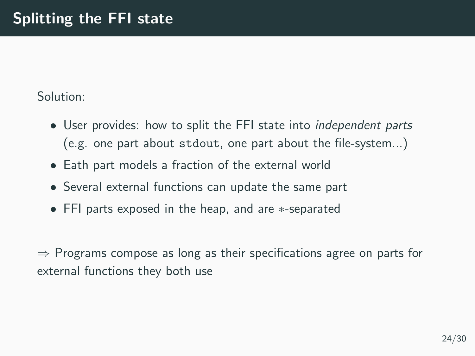Solution:

- User provides: how to split the FFI state into *independent parts* (e.g. one part about stdout, one part about the file-system...)
- Eath part models a fraction of the external world
- Several external functions can update the same part
- FFI parts exposed in the heap, and are ∗-separated

 $\Rightarrow$  Programs compose as long as their specifications agree on parts for external functions they both use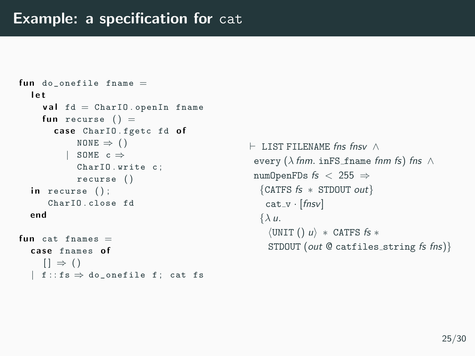#### Example: a specification for cat

```
fun do_onefile fname =l e t
    val fd = CharIO. openIn framefun recurse () =case CharIO. fgetc fd of
            NONE \Rightarrow ()
         | SOME c \RightarrowCharIO.write c:
           recurse ( )
  in recurse ();
      CharIO close fd
  end
fun cat fnames =case fnames of
    [ ] \Rightarrow ()
  | f:: fs \Rightarrow do_onefile f; cat fs
```

```
` LIST FILENAME fns fnsv ∧
every (\lambda fnm. inFS_fname fnm fs) fns \wedgenumOpenFDs fs < 255 \Rightarrow\{CATFS fs * STDOUT out}
   cat_v \cdot [fnsv]{λ u.
    \langleUNIT () u * CATFS fs *STDOUT (out @ catfiles_string fs fns)}
```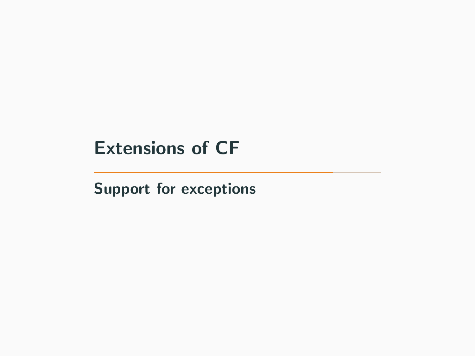### <span id="page-31-0"></span>[Extensions of CF](#page-25-0)

[Support for exceptions](#page-31-0)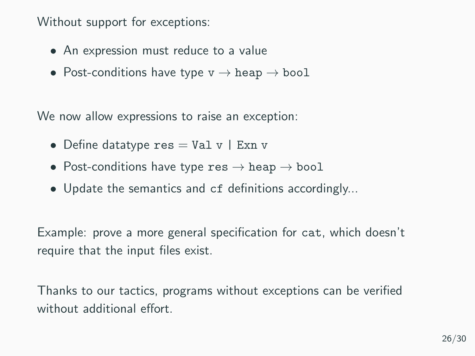Without support for exceptions:

- An expression must reduce to a value
- Post-conditions have type  $v \rightarrow$  heap  $\rightarrow$  bool

We now allow expressions to raise an exception:

- Define datatype  $res = Val v | Exn v$
- Post-conditions have type res  $\rightarrow$  heap  $\rightarrow$  bool
- Update the semantics and cf definitions accordingly...

Example: prove a more general specification for cat, which doesn't require that the input files exist.

Thanks to our tactics, programs without exceptions can be verified without additional effort.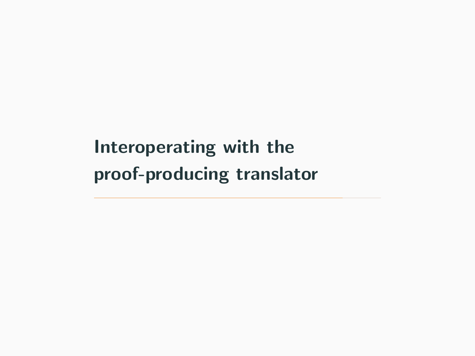<span id="page-33-0"></span>[Interoperating with the](#page-33-0) [proof-producing translator](#page-33-0)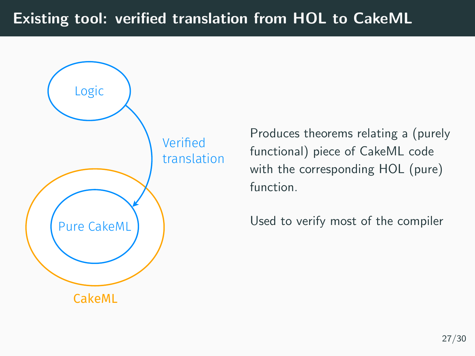### Existing tool: verified translation from HOL to CakeML



Produces theorems relating a (purely functional) piece of CakeML code with the corresponding HOL (pure) function.

Used to verify most of the compiler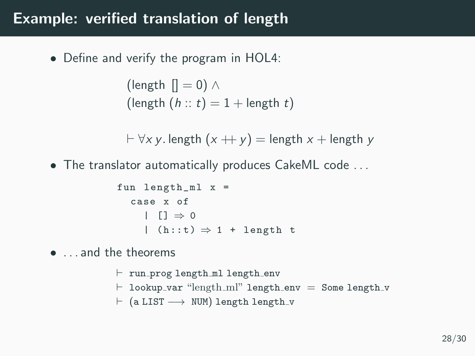#### Example: verified translation of length

• Define and verify the program in HOL4:

```
(length []=0) ∧
(length (h:: t) = 1 + length t)
```
 $\vdash \forall x \, y$ . length  $(x + y) =$  length  $x +$  length y

• The translator automatically produces CakeML code . . .

```
fun length_ml x =
  case x of
     | | | \Rightarrow 0
      | (h:: t) \Rightarrow 1 + length t
```
• . . . and the theorems

 $\vdash$  run prog length ml length env  $\vdash$  lookup\_var "length\_ml" length\_env = Some length\_v  $\vdash$  (a LIST  $\longrightarrow$  NUM) length length\_v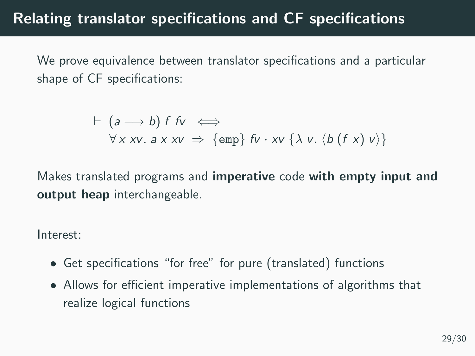### Relating translator specifications and CF specifications

We prove equivalence between translator specifications and a particular shape of CF specifications:

$$
\vdash (a \rightarrow b) \text{ f } f \lor \iff
$$
  
 
$$
\forall x \text{ xv. } a \text{ x } \text{ xv } \Rightarrow \text{ \{emp} \} \text{ fv} \cdot \text{ xv } \{ \lambda \text{ v. } \langle b \text{ (f x)} \text{ v} \rangle \}
$$

Makes translated programs and imperative code with empty input and output heap interchangeable.

Interest:

- Get specifications "for free" for pure (translated) functions
- Allows for efficient imperative implementations of algorithms that realize logical functions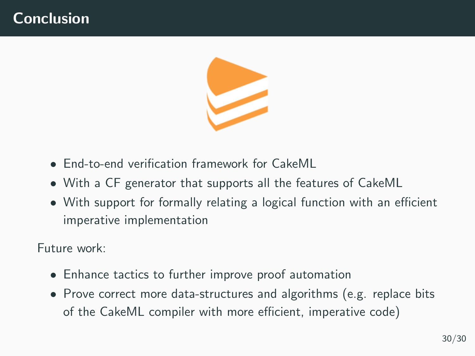#### Conclusion



- End-to-end verification framework for CakeML
- With a CF generator that supports all the features of CakeML
- With support for formally relating a logical function with an efficient imperative implementation

Future work:

- Enhance tactics to further improve proof automation
- Prove correct more data-structures and algorithms (e.g. replace bits of the CakeML compiler with more efficient, imperative code)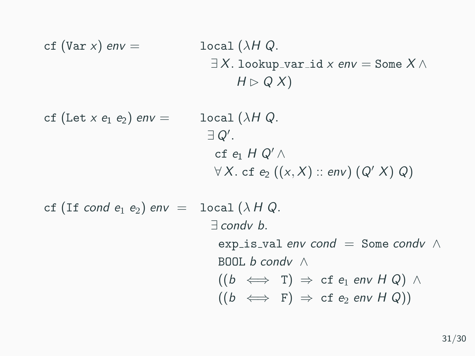cf (Var x) env = local  $(\lambda H Q)$ .  $\exists X.$  lookup\_var\_id x env = Some  $X \wedge$  $H \triangleright Q X$ 

cf (Let x  $e_1 e_2$ ) env = local ( $\lambda H Q$ .  $\exists Q'.$ cf e<sub>1</sub> H  $Q'$   $\wedge$  $\forall X.$  cf  $e_2$   $((x, X)$  :: env)  $(Q' X) Q)$ 

cf (If cond  $e_1 e_2$ ) env = local ( $\lambda$  H Q. ∃ condv b. exp\_is\_val env cond = Some condv  $\wedge$ BOOL *b* condy  $\land$  $((b \iff T) \Rightarrow cf e_1 env H Q) \land$  $((b \iff F) \Rightarrow cf e_2 env H Q))$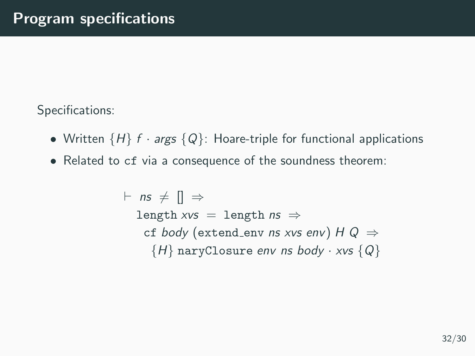Specifications:

- Written  $\{H\}$  f  $\cdot$  args  $\{Q\}$ : Hoare-triple for functional applications
- Related to cf via a consequence of the soundness theorem:

 $\vdash$  ns  $\neq$   $\parallel \Rightarrow$ length  $xvs =$  length  $ns \Rightarrow$ cf body (extend\_env ns xvs env)  $H Q \Rightarrow$  $\{H\}$  naryClosure env ns body  $\cdot$  xvs  $\{Q\}$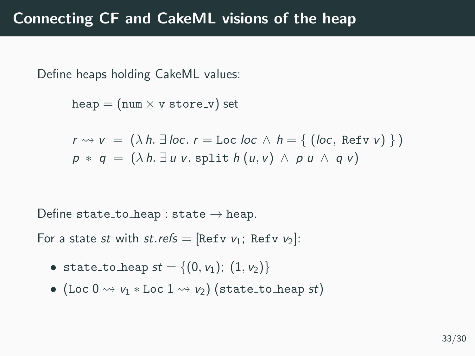Define heaps holding CakeML values:

heap  $=$  (num  $\times$  v store\_v) set

$$
r \rightsquigarrow v = (\lambda h. \exists loc. r = Loc loc \land h = \{ (loc, Refv v) \})
$$
  

$$
p * q = (\lambda h. \exists u v. split h (u, v) \land p u \land q v)
$$

Define state\_to\_heap : state  $\rightarrow$  heap.

For a state st with st.refs =  $[Refv v_1; Refv v_2]$ :

- state\_to\_heap  $st = \{(0, v_1); (1, v_2)\}$
- (Loc  $0 \rightsquigarrow v_1 * Loc 1 \rightsquigarrow v_2)$  (state\_to\_heap st)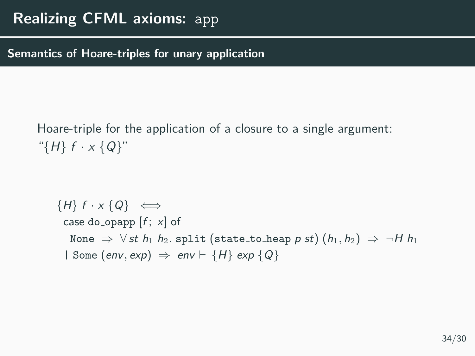### Realizing CFML axioms: app

Semantics of Hoare-triples for unary application

Hoare-triple for the application of a closure to a single argument: " $\{H\} f \cdot x \{Q\}$ "

```
\{H\} f · x \{Q\} \iffcase do opapp [f; x] of
   None \Rightarrow \forall st h_1 h_2. split (state_to_heap p st) (h_1, h_2) \Rightarrow \neg H h_1| Some (\text{env}, \text{exp}) \Rightarrow \text{env} \vdash \{H\} \text{exp } \{Q\}
```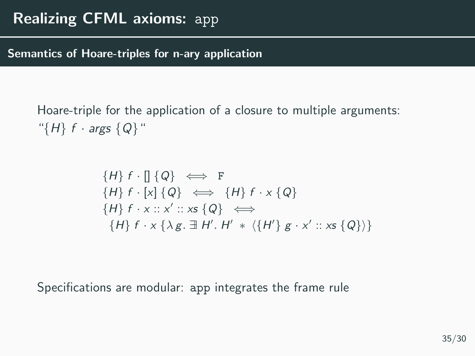### Realizing CFML axioms: app

Semantics of Hoare-triples for n-ary application

Hoare-triple for the application of a closure to multiple arguments: " $\{H\}$  f · args  $\{Q\}$ "

$$
{\begin{aligned}\n\{H\} &\ f \cdot [] \{Q\} &\iff F \\
\{H\} &\ f \cdot [x] \{Q\} &\iff \{H\} &\ f \cdot x \{Q\} \\
\{H\} &\ f \cdot x :: x' :: xs \{Q\} &\iff \\
\{H\} &\ f \cdot x \{ \lambda g. \exists H'. H' * \langle \{H'\} g \cdot x' :: xs \{Q\} \rangle \}\n\end{aligned}
$$

Specifications are modular: app integrates the frame rule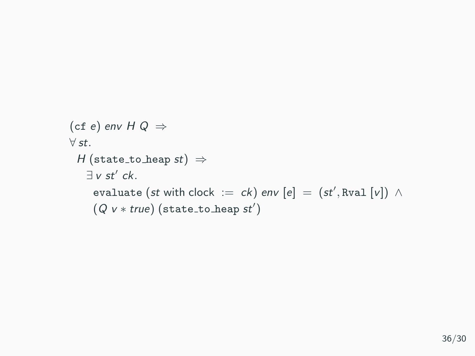```
(cf e) env H Q \Rightarrow\forall st.
 H (state_to_heap st) \Rightarrow\exists v st' ck.evaluate (st with clock := ck) env [e] = (st', Rval [v]) \wedge(Q \text{ } v * \text{ } true) (state_to_heap st')
```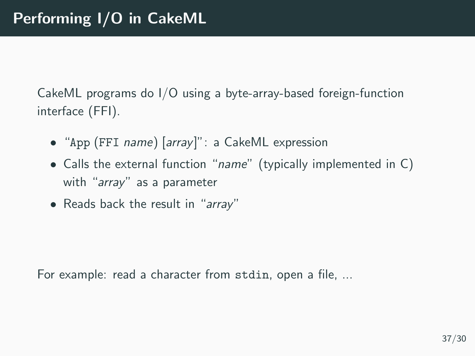CakeML programs do I/O using a byte-array-based foreign-function interface (FFI).

- "App (FFI name) [array]": a CakeML expression
- Calls the external function "*name*" (typically implemented in C) with "array" as a parameter
- Reads back the result in "array"

For example: read a character from stdin, open a file, ...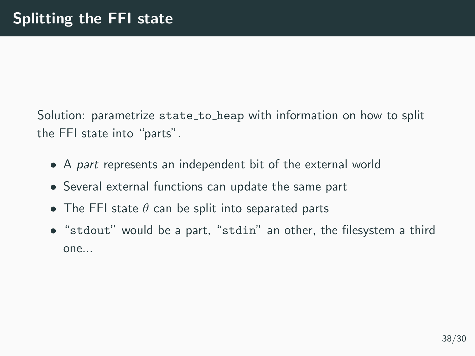Solution: parametrize state to heap with information on how to split the FFI state into "parts".

- A *part* represents an independent bit of the external world
- Several external functions can update the same part
- The FFI state  $\theta$  can be split into separated parts
- "stdout" would be a part, "stdin" an other, the filesystem a third one...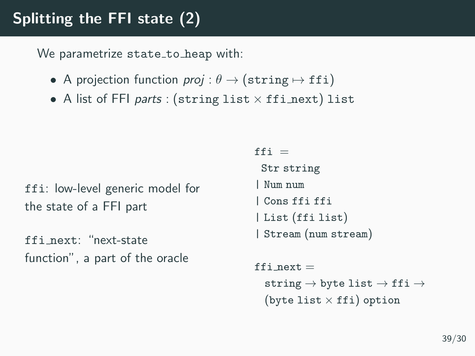### Splitting the FFI state (2)

We parametrize state\_to\_heap with:

- A projection function *proj* :  $\theta \rightarrow (\text{string} \rightarrow \text{ffi})$
- A list of FFI parts : (string list  $\times$  ffi next) list

ffi: low-level generic model for the state of a FFI part

ffi next: "next-state function", a part of the oracle

```
ffi =
```

```
Str string
```
- | Num num
- | Cons ffi ffi
- | List (ffi list)
- | Stream (num stream)

ffi next  $=$ string  $\rightarrow$  byte list  $\rightarrow$  ffi  $\rightarrow$ (byte list  $\times$  ffi) option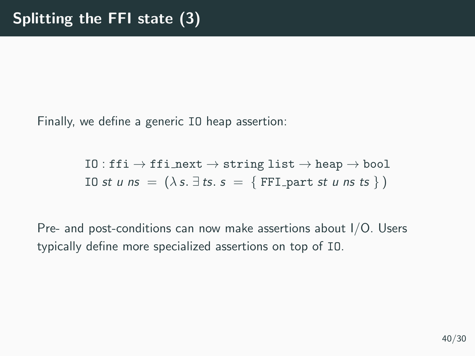Finally, we define a generic IO heap assertion:

```
IO: ffi \rightarrow ffi next \rightarrow string list \rightarrow heap \rightarrow bool
IO st u ns = (\lambda s. \exists ts. s = \{ FFI-part st u ns ts \})
```
Pre- and post-conditions can now make assertions about I/O. Users typically define more specialized assertions on top of IO.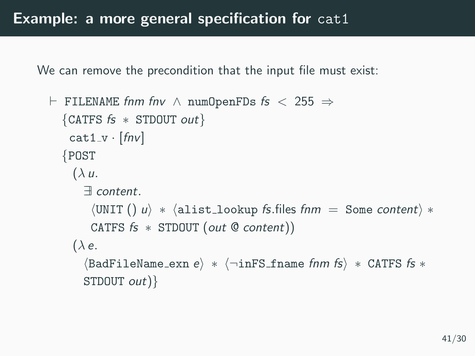We can remove the precondition that the input file must exist:

```
\vdash FILENAME fnm fnv ∧ numOpenFDs fs < 255 \Rightarrow\{CATFS fs * STDOUT out}
    cat1_v \cdot |fnv|{POST
    (λ u.
       ∃∃ content.
         \langleUNIT () u) * \langlealist lookup fs.files fnm = Some content\rangle *
         CATFS fs * STDOUT (out @ content))
     (\lambda e).
       \langleBadFileName_exn e\rangle * \langle \neg \text{inFS\_frame} fname f\langle * CATFS fs *STDOUT out)}
```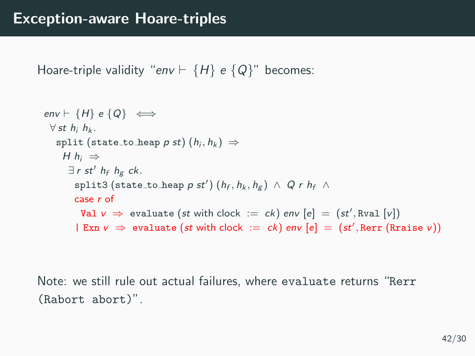Hoare-triple validity "env  $\vdash \{H\}$  e  $\{Q\}$ " becomes:

```
env \vdash \{H\} e \{Q\} \iff\forall st h<sub>i</sub> h<sub>k</sub>.
    \texttt{split}\ (\texttt{state_to} \texttt{\_heap}\ p\ \texttt{st})\ (h_i, h_k) \ \RightarrowH h_i \Rightarrow\existsr st' h<sub>f</sub> h<sub>g</sub> ck.
          split3 (state_to_heap p st') (h_f, h_k, h_g) \wedge Q r h_f \wedgecase r of
            Val v \Rightarrow evaluate (st with clock := ck) env [e] = (st', Rval [v])| Exn v \Rightarrow evaluate (st with clock := ck) env [e] = (st', \text{Rerr} (\text{Rraise } v))
```
Note: we still rule out actual failures, where evaluate returns "Rerr (Rabort abort)".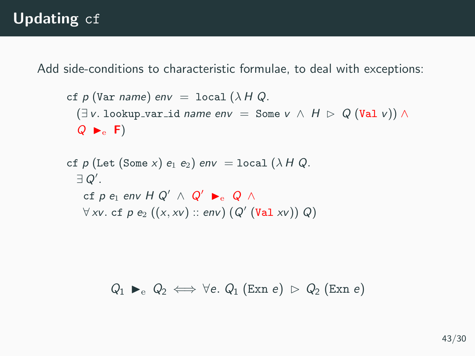Add side-conditions to characteristic formulae, to deal with exceptions:

```
cf p (Var name) env = local (\lambda H Q).
  (\exists v. \text{lookup-var}_id \text{ name env } = \text{Some } v \land H \triangleright Q (\text{Val } v)) \landQ \rightarrow e F)
```

```
cf p (Let (Some x) e_1 e_2) env = local (\lambda H Q.
   \exists Q'.cf p e<sub>1</sub> env H Q' \land Q' \blacktriangleright_e Q \land\forall xv. cf p e_2 ((x, xv) :: env) (Q' (Val xv)) Q)
```

$$
Q_1 \blacktriangleright_e Q_2 \iff \forall e. \ Q_1 \ (\text{Exn } e) \ \triangleright \ Q_2 \ (\text{Exn } e)
$$